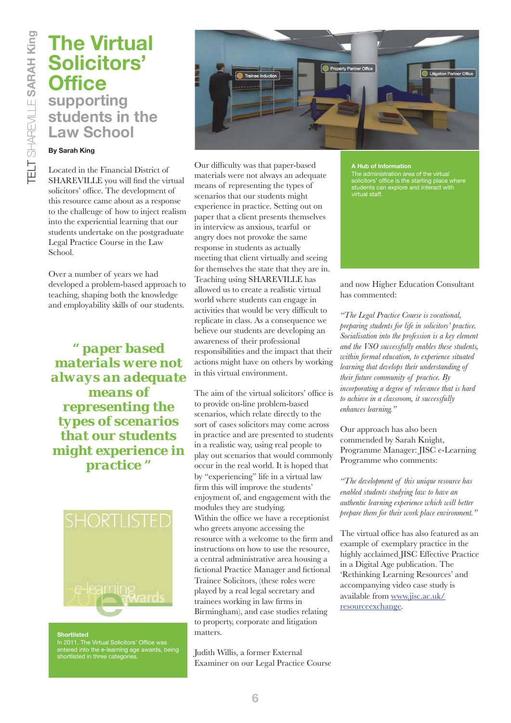# **The Virtual Solicitors' Office supporting students in the Law School**

## **By Sarah King**

Located in the Financial District of SHAREVILLE you will find the virtual solicitors' office. The development of this resource came about as a response to the challenge of how to inject realism into the experiential learning that our students undertake on the postgraduate Legal Practice Course in the Law School.

Over a number of years we had developed a problem-based approach to teaching, shaping both the knowledge and employability skills of our students.

*" paper based materials were not always an adequate means of representing the types of scenarios that our students might experience in practice "*



**Shortlisted** In 2011, The Virtual Solicitors' Office was entered into the e-learning age awards, being shortlisted in three categories.



Our difficulty was that paper-based materials were not always an adequate means of representing the types of scenarios that our students might experience in practice. Setting out on paper that a client presents themselves in interview as anxious, tearful or angry does not provoke the same response in students as actually meeting that client virtually and seeing for themselves the state that they are in. Teaching using SHAREVILLE has allowed us to create a realistic virtual world where students can engage in activities that would be very difficult to replicate in class. As a consequence we believe our students are developing an awareness of their professional responsibilities and the impact that their actions might have on others by working in this virtual environment.

The aim of the virtual solicitors' office is to provide on-line problem-based scenarios, which relate directly to the sort of cases solicitors may come across in practice and are presented to students in a realistic way, using real people to play out scenarios that would commonly occur in the real world. It is hoped that by "experiencing" life in a virtual law firm this will improve the students' enjoyment of, and engagement with the modules they are studying. Within the office we have a receptionist who greets anyone accessing the resource with a welcome to the firm and instructions on how to use the resource, a central administrative area housing a fictional Practice Manager and fictional Trainee Solicitors, (these roles were played by a real legal secretary and trainees working in law firms in Birmingham), and case studies relating to property, corporate and litigation matters.

Judith Willis, a former External Examiner on our Legal Practice Course

#### **A Hub of Information**

The administration area of the virtual solicitors' office is the starting place where students can explore and interact with virtual staff.

## and now Higher Education Consultant has commented:

*"The Legal Practice Course is vocational, preparing students for life in solicitors' practice. Socialisation into the profession is a key element and the VSO successfully enables these students, within formal education, to experience situated learning that develops their understanding of their future community of practice. By incorporating a degree of relevance that is hard to achieve in a classroom, it successfully enhances learning."*

Our approach has also been commended by Sarah Knight, Programme Manager: JISC e-Learning Programme who comments:

*"The development of this unique resource has enabled students studying law to have an authentic learning experience which will better prepare them for their work place environment."* 

The virtual office has also featured as an example of exemplary practice in the highly acclaimed JISC Effective Practice in a Digital Age publication. The 'Rethinking Learning Resources' and accompanying video case study is available from www.jisc.ac.uk/ resourceexchange.